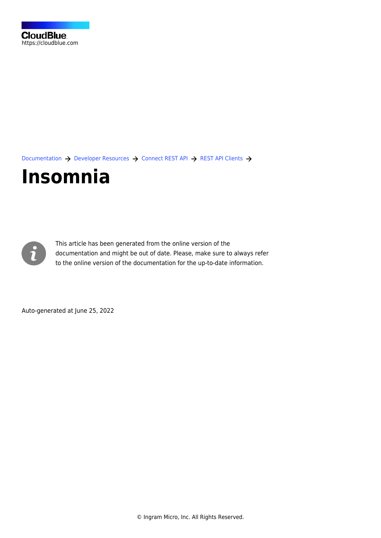

[Documentation](https://connect.cloudblue.com/documentation)  $\rightarrow$  [Developer Resources](https://connect.cloudblue.com/community/developers/)  $\rightarrow$  [Connect REST API](https://connect.cloudblue.com/community/developers/api/)  $\rightarrow$  [REST API Clients](https://connect.cloudblue.com/community/developers/api/rest-clients/)  $\rightarrow$ 

# **[Insomnia](https://connect.cloudblue.com/community/developers/api/rest-clients/insomnia-rest-client/)**



This article has been generated from the online version of the documentation and might be out of date. Please, make sure to always refer to the online version of the documentation for the up-to-date information.

Auto-generated at June 25, 2022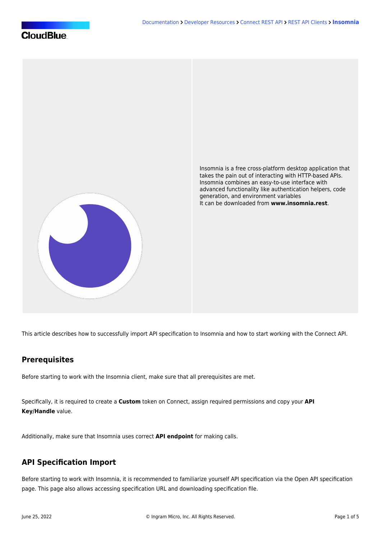

This article describes how to successfully import API specification to Insomnia and how to start working with the Connect API.

#### **Prerequisites**

Before starting to work with the Insomnia client, make sure that all [prerequisites](https://connect.cloudblue.com/community/api/rest-clients/) are met.

Specifically, it is required to create a **Custom** token on Connect, assign required permissions and copy your **API Key/Handle** value.

Additionally, make sure that Insomnia uses correct **API endpoint** for making calls.

### **API Specification Import**

Before starting to work with Insomnia, it is recommended to familiarize yourself API specification via the [Open API specification](https://connect.cloudblue.com/community/api/openapi/) page. This page also allows accessing specification URL and downloading specification file.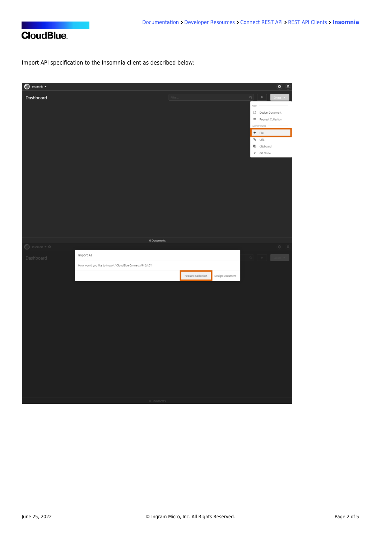

# **CloudBlue**

Import API specification to the Insomnia client as described below:

| $\bigcirc$ Insomnia $\overline{\phantom{a}}$ |                                                            |         |                    |                 |                                                                                                                                                               | $\bullet$ $\bullet$                                                                         |
|----------------------------------------------|------------------------------------------------------------|---------|--------------------|-----------------|---------------------------------------------------------------------------------------------------------------------------------------------------------------|---------------------------------------------------------------------------------------------|
| Dashboard                                    |                                                            | Filter. |                    |                 | $\begin{array}{c c c c c c} \hline \rule{0pt}{16pt} & \multicolumn{1}{c }{\bullet} & \multicolumn{1}{c }{\bullet} & \multicolumn{1}{c }{\bullet} \end{array}$ |                                                                                             |
|                                              |                                                            |         |                    |                 | NEW                                                                                                                                                           |                                                                                             |
|                                              |                                                            |         |                    |                 | Design Document                                                                                                                                               |                                                                                             |
|                                              |                                                            |         |                    |                 | $\equiv$ Request Collection                                                                                                                                   |                                                                                             |
|                                              |                                                            |         |                    |                 | IMPORT FROM                                                                                                                                                   |                                                                                             |
|                                              |                                                            |         |                    |                 | $+$ File                                                                                                                                                      |                                                                                             |
|                                              |                                                            |         |                    |                 | % URL                                                                                                                                                         |                                                                                             |
|                                              |                                                            |         |                    |                 | <b>B</b> Clipboard                                                                                                                                            |                                                                                             |
|                                              |                                                            |         |                    |                 | $P$ Git Clone                                                                                                                                                 |                                                                                             |
|                                              |                                                            |         |                    |                 |                                                                                                                                                               |                                                                                             |
|                                              |                                                            |         |                    |                 |                                                                                                                                                               |                                                                                             |
|                                              |                                                            |         |                    |                 |                                                                                                                                                               |                                                                                             |
|                                              |                                                            |         |                    |                 |                                                                                                                                                               |                                                                                             |
|                                              |                                                            |         |                    |                 |                                                                                                                                                               |                                                                                             |
|                                              |                                                            |         |                    |                 |                                                                                                                                                               |                                                                                             |
|                                              |                                                            |         |                    |                 |                                                                                                                                                               |                                                                                             |
|                                              |                                                            |         |                    |                 |                                                                                                                                                               |                                                                                             |
|                                              |                                                            |         |                    |                 |                                                                                                                                                               |                                                                                             |
|                                              |                                                            |         |                    |                 |                                                                                                                                                               |                                                                                             |
|                                              |                                                            |         |                    |                 |                                                                                                                                                               |                                                                                             |
|                                              | 0 Documents                                                |         |                    |                 |                                                                                                                                                               |                                                                                             |
| $\bigcirc$ Insomnia $\neq$ $\Diamond$        |                                                            |         |                    |                 |                                                                                                                                                               | $\begin{array}{cc} \langle \mathfrak{D} \rangle & \langle \mathfrak{D} \rangle \end{array}$ |
| Dashboard                                    | Import As                                                  |         |                    |                 | $\ddot{\phi}$                                                                                                                                                 |                                                                                             |
|                                              | How would you like to import "CloudBlue Connect API 24.0"? |         |                    |                 |                                                                                                                                                               |                                                                                             |
|                                              |                                                            |         | Request Collection | Design Document |                                                                                                                                                               |                                                                                             |
|                                              |                                                            |         |                    |                 |                                                                                                                                                               |                                                                                             |
|                                              |                                                            |         |                    |                 |                                                                                                                                                               |                                                                                             |
|                                              |                                                            |         |                    |                 |                                                                                                                                                               |                                                                                             |
|                                              |                                                            |         |                    |                 |                                                                                                                                                               |                                                                                             |
|                                              |                                                            |         |                    |                 |                                                                                                                                                               |                                                                                             |
|                                              |                                                            |         |                    |                 |                                                                                                                                                               |                                                                                             |
|                                              |                                                            |         |                    |                 |                                                                                                                                                               |                                                                                             |
|                                              |                                                            |         |                    |                 |                                                                                                                                                               |                                                                                             |
|                                              |                                                            |         |                    |                 |                                                                                                                                                               |                                                                                             |
|                                              |                                                            |         |                    |                 |                                                                                                                                                               |                                                                                             |
|                                              |                                                            |         |                    |                 |                                                                                                                                                               |                                                                                             |
|                                              |                                                            |         |                    |                 |                                                                                                                                                               |                                                                                             |
|                                              |                                                            |         |                    |                 |                                                                                                                                                               |                                                                                             |
|                                              |                                                            |         |                    |                 |                                                                                                                                                               |                                                                                             |
|                                              |                                                            |         |                    |                 |                                                                                                                                                               |                                                                                             |
|                                              |                                                            |         |                    |                 |                                                                                                                                                               |                                                                                             |
|                                              | 0 Documents                                                |         |                    |                 |                                                                                                                                                               |                                                                                             |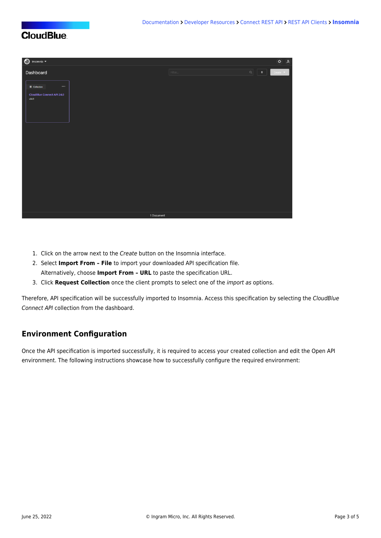## **CloudBlue**



- 1. Click on the arrow next to the Create button on the Insomnia interface.
- 2. Select **Import From File** to import your downloaded API specification file. Alternatively, choose **Import From – URL** to paste the specification URL.
- 3. Click **Request Collection** once the client prompts to select one of the import as options.

Therefore, API specification will be successfully imported to Insomnia. Access this specification by selecting the CloudBlue Connect API collection from the dashboard.

#### **Environment Configuration**

Once the API specification is imported successfully, it is required to access your created collection and edit the Open API environment. The following instructions showcase how to successfully configure the required environment: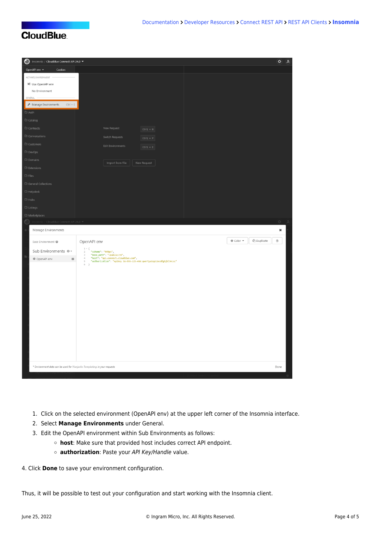# **CloudBlue**

| Insomnia / CloudBlue Connect API 24.0                                   |                                                                                                                                                                                                                                   | $\phi$<br>(A)                                  |  |
|-------------------------------------------------------------------------|-----------------------------------------------------------------------------------------------------------------------------------------------------------------------------------------------------------------------------------|------------------------------------------------|--|
| OpenAPI env <<br>Cookies                                                |                                                                                                                                                                                                                                   |                                                |  |
| ACTIVATE ENVIRONMENT                                                    |                                                                                                                                                                                                                                   |                                                |  |
| X Use OpenAPI env                                                       |                                                                                                                                                                                                                                   |                                                |  |
| No Environment                                                          |                                                                                                                                                                                                                                   |                                                |  |
| GENERAL                                                                 |                                                                                                                                                                                                                                   |                                                |  |
| $\boldsymbol{\mathcal{F}}$ Manage Environments<br>$Ctrl + E$            |                                                                                                                                                                                                                                   |                                                |  |
| $\square$ Auth                                                          |                                                                                                                                                                                                                                   |                                                |  |
| $\Box$ Catalog                                                          |                                                                                                                                                                                                                                   |                                                |  |
| $\Box$ Contracts                                                        | New Request<br>$Ctrl + N$                                                                                                                                                                                                         |                                                |  |
| $\Box$ Conversations                                                    | Switch Requests<br>$ctr1 + P$                                                                                                                                                                                                     |                                                |  |
| $\Box$ Customers                                                        | <b>Edit Environments</b>                                                                                                                                                                                                          |                                                |  |
| D DevOps                                                                | $Ctrl + E$                                                                                                                                                                                                                        |                                                |  |
| $\Box$ Domains                                                          |                                                                                                                                                                                                                                   |                                                |  |
| $\Box$ Extensions                                                       | Import from File<br>New Request                                                                                                                                                                                                   |                                                |  |
|                                                                         |                                                                                                                                                                                                                                   |                                                |  |
| $\square$ Files                                                         |                                                                                                                                                                                                                                   |                                                |  |
| $\Box$ General Collections                                              |                                                                                                                                                                                                                                   |                                                |  |
| $\square$ Helpdesk                                                      |                                                                                                                                                                                                                                   |                                                |  |
| $\square$ Hubs                                                          |                                                                                                                                                                                                                                   |                                                |  |
| $\Box$ Listings                                                         |                                                                                                                                                                                                                                   |                                                |  |
| $\square$ Marketplaces                                                  |                                                                                                                                                                                                                                   |                                                |  |
|                                                                         |                                                                                                                                                                                                                                   | $\phi$ $\alpha$                                |  |
| Manage Environments                                                     |                                                                                                                                                                                                                                   | $\pmb{\times}$                                 |  |
| Base Environment @                                                      | OpenAPI env                                                                                                                                                                                                                       | @ Duplicate<br>Ė.<br>$\bullet$ Color $\bullet$ |  |
|                                                                         | $1$ - $\{$                                                                                                                                                                                                                        |                                                |  |
| Sub Environments $\circ$ -                                              | <sup>\</sup> "scheme": "https",<br>"base_path": "/public/v1",<br>"host": "api.connect.cloudblue.com",<br>"authorization": "Apikey SU-555-123-456:qwertyuiop12asdfghjkl34zxc"<br>$\,2$<br>$\ensuremath{\mathrel{\mathop:}}\xspace$ |                                                |  |
| OpenAPI env<br>$\blacksquare$                                           | $\ensuremath{\mathnormal{\triangleleft}}$<br>$\mathbb S$                                                                                                                                                                          |                                                |  |
|                                                                         | $6 - \}$                                                                                                                                                                                                                          |                                                |  |
|                                                                         |                                                                                                                                                                                                                                   |                                                |  |
|                                                                         |                                                                                                                                                                                                                                   |                                                |  |
|                                                                         |                                                                                                                                                                                                                                   |                                                |  |
|                                                                         |                                                                                                                                                                                                                                   |                                                |  |
|                                                                         |                                                                                                                                                                                                                                   |                                                |  |
|                                                                         |                                                                                                                                                                                                                                   |                                                |  |
|                                                                         |                                                                                                                                                                                                                                   |                                                |  |
|                                                                         |                                                                                                                                                                                                                                   |                                                |  |
|                                                                         |                                                                                                                                                                                                                                   |                                                |  |
|                                                                         |                                                                                                                                                                                                                                   |                                                |  |
|                                                                         |                                                                                                                                                                                                                                   |                                                |  |
|                                                                         |                                                                                                                                                                                                                                   |                                                |  |
| * Environment data can be used for Nunjucks Templating in your requests |                                                                                                                                                                                                                                   | Done                                           |  |
|                                                                         |                                                                                                                                                                                                                                   |                                                |  |

- 1. Click on the selected environment (OpenAPI env) at the upper left corner of the Insomnia interface.
- 2. Select **Manage Environments** under General.
- 3. Edit the OpenAPI environment within Sub Environments as follows:
	- **host**: Make sure that provided host includes correct API endpoint.
	- **authorization**: Paste your API Key/Handle value.
- 4. Click **Done** to save your environment configuration.

Thus, it will be possible to test out your configuration and start working with the Insomnia client.